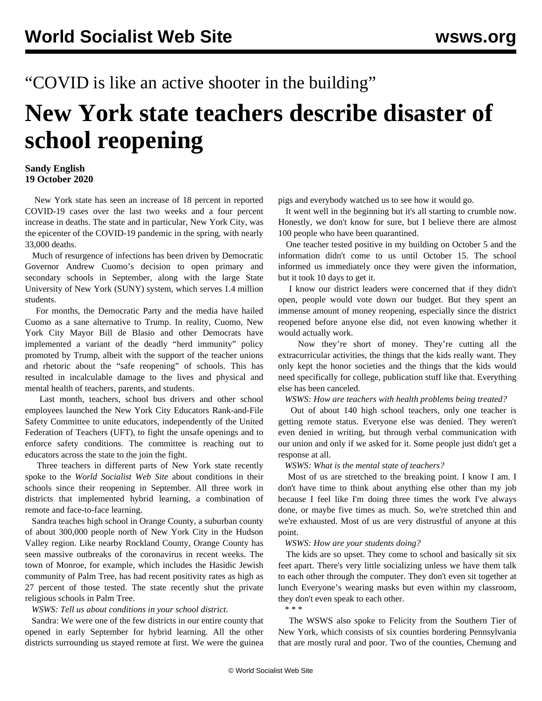## "COVID is like an active shooter in the building"

# **New York state teachers describe disaster of school reopening**

### **Sandy English 19 October 2020**

 New York state has seen an increase of 18 percent in reported COVID-19 cases over the last two weeks and a four percent increase in deaths. The state and in particular, New York City, was the epicenter of the COVID-19 pandemic in the spring, with nearly 33,000 deaths.

 Much of resurgence of infections has been driven by Democratic Governor Andrew Cuomo's decision to open primary and secondary schools in September, along with the large State University of New York (SUNY) system, which serves 1.4 million students.

 For months, the Democratic Party and the media have hailed Cuomo as a sane alternative to Trump. In reality, Cuomo, New York City Mayor Bill de Blasio and other Democrats have implemented a variant of the deadly "herd immunity" policy promoted by Trump, albeit with the support of the teacher unions and rhetoric about the "safe reopening" of schools. This has resulted in incalculable damage to the lives and physical and mental health of teachers, parents, and students.

 Last month, teachers, school bus drivers and other school employees [launched](/en/articles/2020/09/10/nyce-s10.html) the New York City Educators Rank-and-File Safety Committee to unite educators, independently of the United Federation of Teachers (UFT), to fight the unsafe openings and to enforce safety conditions. The committee is reaching out to educators across the state to the join the fight.

 Three teachers in different parts of New York state recently spoke to the *World Socialist Web Site* about conditions in their schools since their reopening in September. All three work in districts that implemented hybrid learning, a combination of remote and face-to-face learning.

 Sandra teaches high school in Orange County, a suburban county of about 300,000 people north of New York City in the Hudson Valley region. Like nearby Rockland County, Orange County has seen massive outbreaks of the coronavirus in recent weeks. The town of Monroe, for example, which includes the Hasidic Jewish community of Palm Tree, has had recent positivity rates as high as 27 percent of those tested. The state recently shut the private religious schools in Palm Tree.

### *WSWS: Tell us about conditions in your school district.*

 Sandra: We were one of the few districts in our entire county that opened in early September for hybrid learning. All the other districts surrounding us stayed remote at first. We were the guinea

pigs and everybody watched us to see how it would go.

 It went well in the beginning but it's all starting to crumble now. Honestly, we don't know for sure, but I believe there are almost 100 people who have been quarantined.

 One teacher tested positive in my building on October 5 and the information didn't come to us until October 15. The school informed us immediately once they were given the information, but it took 10 days to get it.

 I know our district leaders were concerned that if they didn't open, people would vote down our budget. But they spent an immense amount of money reopening, especially since the district reopened before anyone else did, not even knowing whether it would actually work.

 Now they're short of money. They're cutting all the extracurricular activities, the things that the kids really want. They only kept the honor societies and the things that the kids would need specifically for college, publication stuff like that. Everything else has been canceled.

*WSWS: How are teachers with health problems being treated?*

 Out of about 140 high school teachers, only one teacher is getting remote status. Everyone else was denied. They weren't even denied in writing, but through verbal communication with our union and only if we asked for it. Some people just didn't get a response at all.

*WSWS: What is the mental state of teachers?*

 Most of us are stretched to the breaking point. I know I am. I don't have time to think about anything else other than my job because I feel like I'm doing three times the work I've always done, or maybe five times as much. So, we're stretched thin and we're exhausted. Most of us are very distrustful of anyone at this point.

#### *WSWS: How are your students doing?*

 The kids are so upset. They come to school and basically sit six feet apart. There's very little socializing unless we have them talk to each other through the computer. They don't even sit together at lunch Everyone's wearing masks but even within my classroom, they don't even speak to each other.

\* \* \*

 The WSWS also spoke to Felicity from the Southern Tier of New York, which consists of six counties bordering Pennsylvania that are mostly rural and poor. Two of the counties, Chemung and